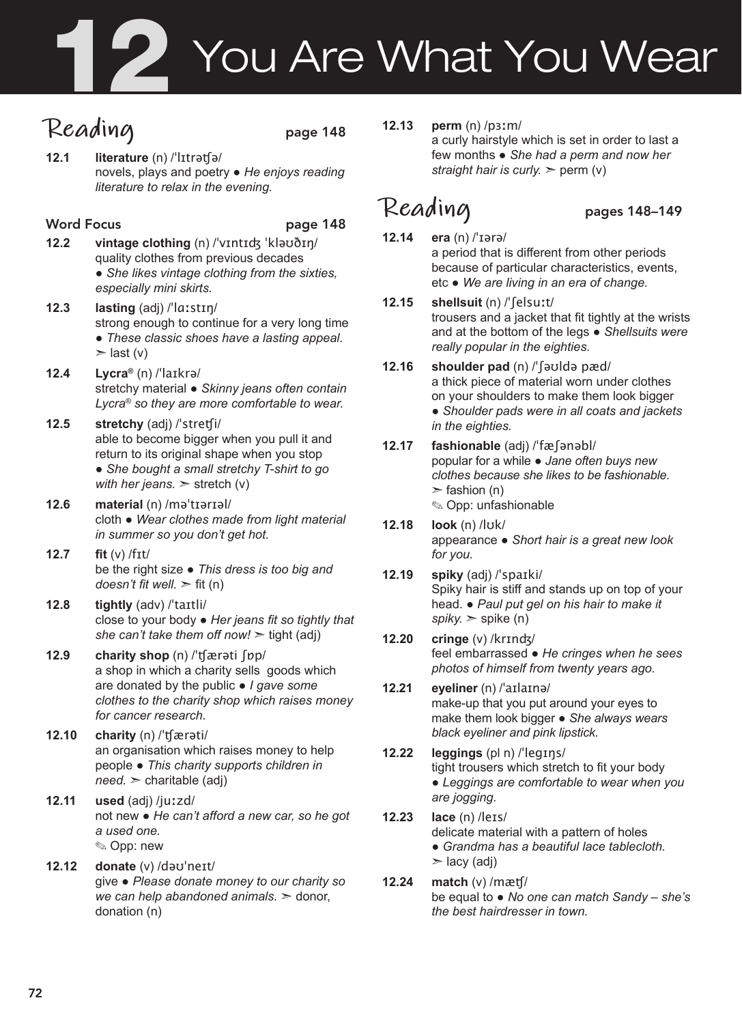# **7 You Are What You Wear**

# Reading page 148

**12.1 literature** (n) /ˈlɪtrəʧə/ novels, plays and poetry ● *He enjoys reading literature to relax in the evening.* 

### Word Focus **page 148**

- **12.2 vintage clothing** (n) /ˈvɪntɪʤ ˈkləʊðɪŋ/ quality clothes from previous decades ● *She likes vintage clothing from the sixties, especially mini skirts.*
- **12.3 lasting** (adj) /ˈlɑːstɪŋ/ strong enough to continue for a very long time ● *These classic shoes have a lasting appeal.*   $>$  last (v)
- **12.4 Lycra®** (n) /ˈlaɪkrə/ stretchy material ● *Skinny jeans often contain Lycra® so they are more comfortable to wear.*
- **12.5 stretchy** (adj) /ˈstreʧi/ able to become bigger when you pull it and return to its original shape when you stop ● *She bought a small stretchy T-shirt to go with her jeans.* ➣ stretch (v)
- **12.6 material** (n) /məˈtɪərɪəl/ cloth ● *Wear clothes made from light material in summer so you don't get hot.*
- **12.7 fit** (v) /fɪt/ be the right size ● *This dress is too big and doesn't fit well.* ➣ fit (n)
- **12.8 tightly** (adv) /ˈtaɪtli/ close to your body ● *Her jeans fit so tightly that she can't take them off now!*  $\geq$  tight (adj)
- **12.9 charity shop** (n) /ˈʧærəti ʃɒp/ a shop in which a charity sells goods which are donated by the public ● *I gave some clothes to the charity shop which raises money for cancer research.*
- **12.10 charity** (n) /ˈʧærəti/ an organisation which raises money to help people ● *This charity supports children in need.* ➣ charitable (adj)
- **12.11 used** (adj) /juːzd/ not new ● *He can't afford a new car, so he got a used one.*  ✎ Opp: new
- **12.12 donate** (v) /dəʊˈneɪt/ give ● *Please donate money to our charity so we can help abandoned animals.* ➣ donor, donation (n)

**12.13 perm** (n) /pɜːm/

a curly hairstyle which is set in order to last a few months ● *She had a perm and now her straight hair is curly.*  $\gg$  perm (v)

### **Reading** pages 148–149

- **12.14 era** (n) /ˈɪərə/ a period that is different from other periods because of particular characteristics, events, etc ● *We are living in an era of change.*
- **12.15 shellsuit** (n) /ˈʃelsuːt/ trousers and a jacket that fit tightly at the wrists and at the bottom of the legs ● *Shellsuits were really popular in the eighties.*
- **12.16 shoulder pad** (n) /ˈʃəʊldə pæd/ a thick piece of material worn under clothes on your shoulders to make them look bigger ● *Shoulder pads were in all coats and jackets in the eighties.*
- **12.17 fashionable** (adj) /ˈfæʃənəbl/ popular for a while ● *Jane often buys new clothes because she likes to be fashionable.*   $\ge$  fashion (n) ✎ Opp: unfashionable
- **12.18 look** (n) /lʊk/ appearance ● *Short hair is a great new look for you.*
- **12.19 spiky** (adj) /ˈspaɪki/ Spiky hair is stiff and stands up on top of your head. ● *Paul put gel on his hair to make it spiky.* ➣ spike (n)
- **12.20 cringe** (v) /krɪnʤ/ feel embarrassed ● *He cringes when he sees photos of himself from twenty years ago.*

### **12.21 eyeliner** (n) /ˈaɪlaɪnə/ make-up that you put around your eyes to make them look bigger ● *She always wears black eyeliner and pink lipstick.*

- **12.22 leggings** (pl n) /ˈlegɪŋs/ tight trousers which stretch to fit your body ● *Leggings are comfortable to wear when you are jogging.*
- **12.23 lace** (n) /leɪs/ delicate material with a pattern of holes ● *Grandma has a beautiful lace tablecloth.*   $>$  lacy (adj)
- **12.24 match** (v) /mæʧ/ be equal to ● *No one can match Sandy – she's the best hairdresser in town.*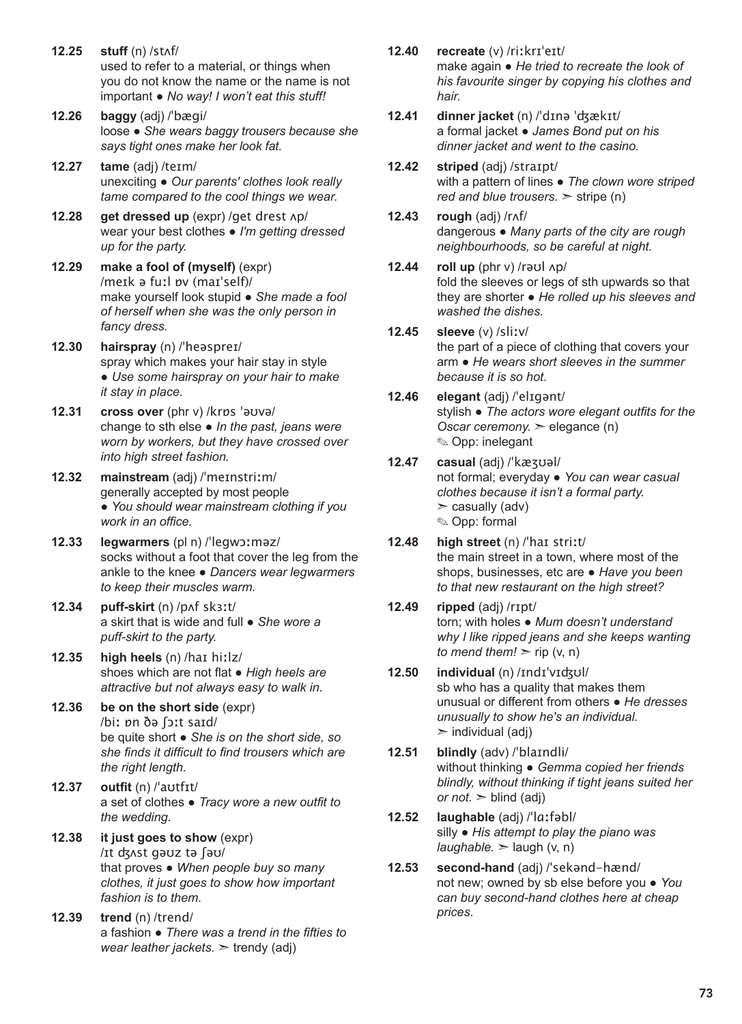- **12.25 stuff** (n) /stʌf/ used to refer to a material, or things when you do not know the name or the name is not important ● *No way! I won't eat this stuff!*
- **12.26 baggy** (adj) /ˈbægi/ loose ● *She wears baggy trousers because she says tight ones make her look fat.*
- **12.27 tame** (adj) /teɪm/ unexciting ● *Our parents' clothes look really tame compared to the cool things we wear.*
- **12.28 get dressed up** (expr) /get drest ʌp/ wear your best clothes ● *I'm getting dressed up for the party.*
- **12.29 make a fool of (myself)** (expr) /meɪk ə fuːl ɒv (maɪˈself)/ make yourself look stupid ● *She made a fool of herself when she was the only person in fancy dress.*
- **12.30 hairspray** (n) /ˈheəspreɪ/ spray which makes your hair stay in style ● *Use some hairspray on your hair to make it stay in place.*
- **12.31 cross over** (phr v) /krɒs ˈəʊvə/ change to sth else ● *In the past, jeans were worn by workers, but they have crossed over into high street fashion.*
- **12.32 mainstream** (adj) /ˈmeɪnstriːm/ generally accepted by most people ● *You should wear mainstream clothing if you work in an office.*
- **12.33 legwarmers** (pl n) /ˈlegwɔːməz/ socks without a foot that cover the leg from the ankle to the knee ● *Dancers wear legwarmers to keep their muscles warm.*
- **12.34 puff-skirt** (n) /pʌf skɜːt/ a skirt that is wide and full ● *She wore a puff-skirt to the party.*
- **12.35 high heels** (n) /haɪ hiːlz/ shoes which are not flat ● *High heels are attractive but not always easy to walk in.*
- **12.36 be on the short side** (expr) /biː ɒn ðə ʃɔːt saɪd/ be quite short ● *She is on the short side, so she finds it difficult to find trousers which are the right length.*
- **12.37 outfit** (n) /ˈaʊtfɪt/ a set of clothes ● *Tracy wore a new outfit to the wedding.*
- **12.38 it just goes to show** (expr) /ɪt ʤʌst gəʊz tə ʃəʊ/ that proves ● *When people buy so many clothes, it just goes to show how important fashion is to them.*
- **12.39 trend** (n) /trend/ a fashion ● *There was a trend in the fifties to wear leather jackets.* ➣ trendy (adj)
- **12.40 recreate** (v) /riːkrɪˈeɪt/ make again ● *He tried to recreate the look of his favourite singer by copying his clothes and hair.*
- **12.41 dinner jacket** (n) /ˈdɪnə ˈʤækɪt/ a formal jacket ● *James Bond put on his dinner jacket and went to the casino.*
- **12.42 striped** (adj) /straɪpt/ with a pattern of lines ● *The clown wore striped red and blue trousers.* ➣ stripe (n)
- **12.43 rough** (adj) /rʌf/ dangerous ● *Many parts of the city are rough neighbourhoods, so be careful at night.*
- **12.44 roll up** (phr v) /rəʊl ʌp/ fold the sleeves or legs of sth upwards so that they are shorter ● *He rolled up his sleeves and washed the dishes.*
- **12.45 sleeve** (v) /sliːv/ the part of a piece of clothing that covers your arm ● *He wears short sleeves in the summer because it is so hot.*
- **12.46 elegant** (adj) /ˈelɪgənt/ stylish ● *The actors wore elegant outfits for the Oscar ceremony.* ➣ elegance (n) ✎ Opp: inelegant
- **12.47 casual** (adj) /ˈkæʒʊəl/ not formal; everyday ● *You can wear casual clothes because it isn't a formal party.*   $\geq$  casually (adv) ✎ Opp: formal
- **12.48 high street** (n) /ˈhaɪ striːt/ the main street in a town, where most of the shops, businesses, etc are ● *Have you been to that new restaurant on the high street?*
- **12.49 ripped** (adj) /rɪpt/ torn; with holes ● *Mum doesn't understand why I like ripped jeans and she keeps wanting to mend them!*  $\geq$  rip (v, n)
- **12.50 individual** (n) /ɪndɪˈvɪʤʊl/ sb who has a quality that makes them unusual or different from others ● *He dresses unusually to show he's an individual.*   $\triangleright$  individual (adj)
- **12.51 blindly** (adv) /ˈblaɪndli/ without thinking ● *Gemma copied her friends blindly, without thinking if tight jeans suited her or not.*  $>$  blind (adj)
- **12.52 laughable** (adj) /ˈlɑːfəbl/ silly ● *His attempt to play the piano was*   $laughable.$   $\ge$   $laugh$  (v, n)
- **12.53 second-hand** (adj) /ˈsekənd-hænd/ not new; owned by sb else before you ● *You can buy second-hand clothes here at cheap prices.*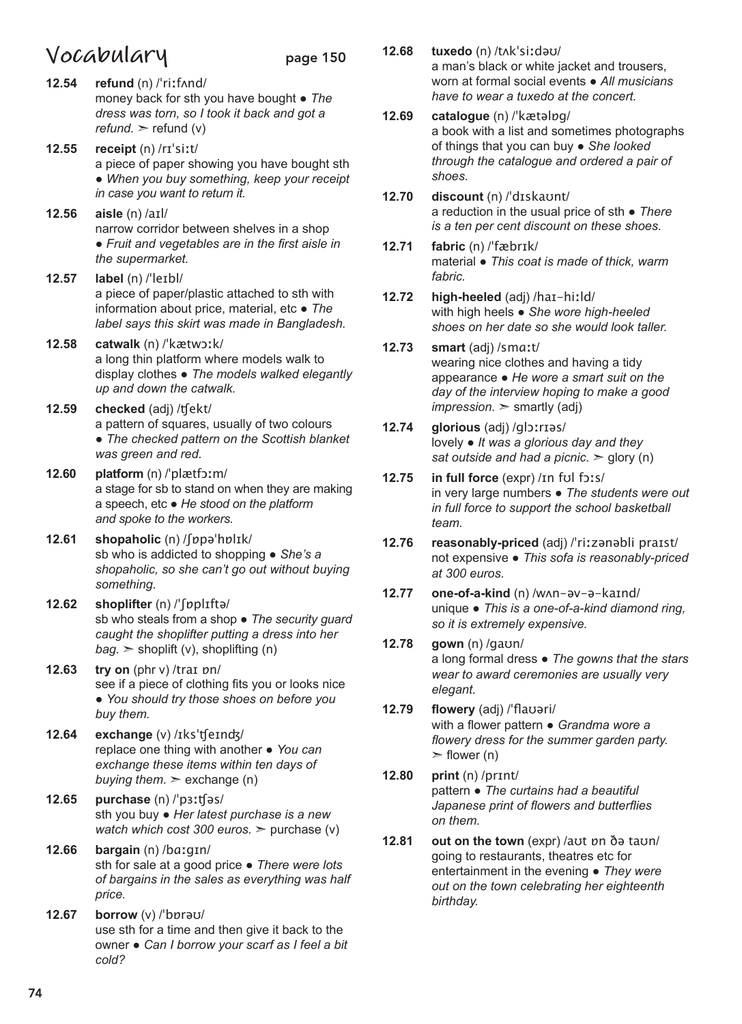### **Vocabulary** page 150

- **12.54 refund** (n) /ˈriːfʌnd/ money back for sth you have bought ● *The dress was torn, so I took it back and got a*   $refund.$   $\ge$  refund (v)
- **12.55 receipt** (n) /rɪˈsiːt/ a piece of paper showing you have bought sth ● *When you buy something, keep your receipt in case you want to return it.*
- **12.56 aisle** (n) /aɪl/ narrow corridor between shelves in a shop ● *Fruit and vegetables are in the first aisle in the supermarket.*
- **12.57 label** (n) /ˈleɪbl/ a piece of paper/plastic attached to sth with information about price, material, etc ● *The label says this skirt was made in Bangladesh.*
- **12.58 catwalk** (n) /ˈkætwɔːk/ a long thin platform where models walk to display clothes ● *The models walked elegantly up and down the catwalk.*
- **12.59 checked** (adj) /ʧekt/ a pattern of squares, usually of two colours ● *The checked pattern on the Scottish blanket was green and red.*
- **12.60 platform** (n) /ˈplætfɔːm/ a stage for sb to stand on when they are making a speech, etc ● *He stood on the platform and spoke to the workers.*
- **12.61 shopaholic** (n) /ʃɒpəˈhɒlɪk/ sb who is addicted to shopping ● *She's a shopaholic, so she can't go out without buying something.*
- **12.62 shoplifter** (n) /ˈʃɒplɪftə/ sb who steals from a shop ● *The security guard caught the shoplifter putting a dress into her*   $bag.$   $\geq$  shoplift (v), shoplifting (n)
- **12.63 try on** (phr v) /traɪ ɒn/ see if a piece of clothing fits you or looks nice ● *You should try those shoes on before you buy them.*
- **12.64 exchange** (v) /ɪksˈʧeɪnʤ/ replace one thing with another ● *You can exchange these items within ten days of buying them.*  $\ge$  exchange (n)
- **12.65 purchase** (n) /ˈpɜːʧəs/ sth you buy ● *Her latest purchase is a new watch which cost 300 euros.*  $\ge$  purchase (v)
- **12.66 bargain** (n) /bɑːgɪn/ sth for sale at a good price ● *There were lots of bargains in the sales as everything was half price.*
- **12.67 borrow** (v) /ˈbɒrəʊ/ use sth for a time and then give it back to the owner ● *Can I borrow your scarf as I feel a bit cold?*
- **12.68 tuxedo** (n) /tʌkˈsiːdəʊ/ a man's black or white jacket and trousers, worn at formal social events ● *All musicians have to wear a tuxedo at the concert.*
- **12.69 catalogue** (n) /ˈkætəlɒg/ a book with a list and sometimes photographs of things that you can buy ● *She looked through the catalogue and ordered a pair of shoes.*
- **12.70 discount** (n) /ˈdɪskaʊnt/ a reduction in the usual price of sth ● *There is a ten per cent discount on these shoes.*
- **12.71 fabric** (n) /ˈfæbrɪk/ material ● *This coat is made of thick, warm fabric.*
- **12.72 high-heeled** (adj) /haɪ-hiːld/ with high heels ● *She wore high-heeled shoes on her date so she would look taller.*
- **12.73 smart** (adj) /smɑːt/ wearing nice clothes and having a tidy appearance ● *He wore a smart suit on the day of the interview hoping to make a good*   $impression.$   $\geq$  smartly (adj)
- **12.74 glorious** (adj) /glɔːrɪəs/ lovely ● *It was a glorious day and they sat outside and had a picnic.* ➣ glory (n)
- **12.75 in full force** (expr) /ɪn fʊl fɔːs/ in very large numbers ● *The students were out in full force to support the school basketball team.*
- **12.76 reasonably-priced** (adj) /ˈriːzənəbli praɪst/ not expensive ● *This sofa is reasonably-priced at 300 euros.*
- **12.77 one-of-a-kind** (n) /wʌn-əv-ə-kaɪnd/ unique ● *This is a one-of-a-kind diamond ring, so it is extremely expensive.*
- **12.78 gown** (n) /gaʊn/ a long formal dress ● *The gowns that the stars wear to award ceremonies are usually very elegant.*
- **12.79 flowery** (adj) /ˈflaʊəri/ with a flower pattern ● *Grandma wore a flowery dress for the summer garden party.*   $\geq$  flower (n)
- **12.80 print** (n) /prɪnt/ pattern ● *The curtains had a beautiful Japanese print of flowers and butterflies on them.*
- **12.81 out on the town** (expr) /aʊt ɒn ðə taʊn/ going to restaurants, theatres etc for entertainment in the evening ● *They were out on the town celebrating her eighteenth birthday.*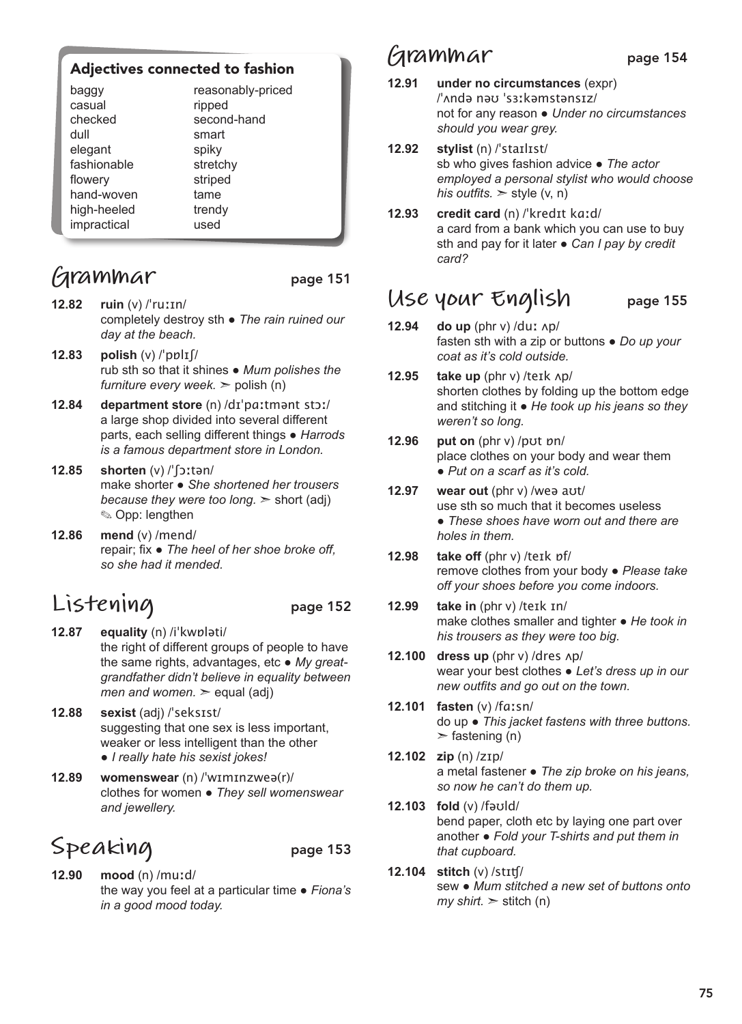### Adjectives connected to fashion

| baggy<br>casual<br>checked<br>dull<br>elegant<br>fashionable | reasonably-priced<br>ripped<br>second-hand<br>smart<br>spiky<br>stretchy |  |
|--------------------------------------------------------------|--------------------------------------------------------------------------|--|
|                                                              |                                                                          |  |
|                                                              |                                                                          |  |
| flowery                                                      | striped                                                                  |  |
| hand-woven                                                   | tame                                                                     |  |
| high-heeled                                                  | trendy                                                                   |  |
| impractical                                                  | used                                                                     |  |

### **Grammar** page 151

- **12.82 ruin** (v) /ˈruːɪn/ completely destroy sth ● *The rain ruined our day at the beach.*
- **12.83 polish** (v) /ˈpɒlɪʃ/ rub sth so that it shines ● *Mum polishes the furniture every week.*  $>$  polish (n)
- **12.84 department store** (n) /dɪˈpɑːtmənt stɔː/ a large shop divided into several different parts, each selling different things ● *Harrods is a famous department store in London.*
- **12.85 shorten** (v) /ˈʃɔːtən/ make shorter ● *She shortened her trousers because they were too long.* ➣ short (adj) ✎ Opp: lengthen
- **12.86 mend** (v) /mend/ repair; fix ● *The heel of her shoe broke off, so she had it mended.*

# **Listening** page 152

- **12.87 equality** (n) /iˈkwɒləti/ the right of different groups of people to have the same rights, advantages, etc ● *My greatgrandfather didn't believe in equality between men and women.*  $\ge$  equal (adj)
- **12.88 sexist** (adj) /ˈseksɪst/ suggesting that one sex is less important, weaker or less intelligent than the other ● *I really hate his sexist jokes!*
- **12.89 womenswear** (n) /ˈwɪmɪnzweə(r)/ clothes for women ● *They sell womenswear and jewellery.*

# Speaking page 153

- **12.90 mood** (n) /muːd/ the way you feel at a particular time ● *Fiona's* 
	- *in a good mood today.*

### **Grammar** page 154

- **12.91 under no circumstances** (expr) /ˈʌndə nəʊ ˈsɜːkəmstənsɪz/ not for any reason ● *Under no circumstances should you wear grey.*
- **12.92 stylist** (n) /ˈstaɪlɪst/ sb who gives fashion advice ● *The actor employed a personal stylist who would choose his outfits.*  $>$  style (v, n)
- **12.93 credit card** (n) /ˈkredɪt kɑːd/ a card from a bank which you can use to buy sth and pay for it later ● *Can I pay by credit card?*

### **Use your English** page 155

- **12.94 do up** (phr v) /duː ʌp/ fasten sth with a zip or buttons ● *Do up your coat as it's cold outside.*
- **12.95 take up** (phr v) /teɪk ʌp/ shorten clothes by folding up the bottom edge and stitching it ● *He took up his jeans so they weren't so long.*
- **12.96 put on** (phr v) /pʊt ɒn/ place clothes on your body and wear them ● *Put on a scarf as it's cold.*
- **12.97 wear out** (phr v) /weə aʊt/ use sth so much that it becomes useless ● *These shoes have worn out and there are holes in them.*
- **12.98 take off** (phr v) /teɪk ɒf/ remove clothes from your body ● *Please take off your shoes before you come indoors.*
- **12.99 take in** (phr v) /teɪk ɪn/ make clothes smaller and tighter ● *He took in his trousers as they were too big.*
- **12.100 dress up** (phr v) /dres ʌp/ wear your best clothes ● *Let's dress up in our new outfits and go out on the town.*
- **12.101 fasten** (v) /fɑːsn/ do up ● *This jacket fastens with three buttons.*   $\ge$  fastening (n)
- **12.102 zip** (n) /zɪp/ a metal fastener ● *The zip broke on his jeans, so now he can't do them up.*
- **12.103 fold** (v) /fəʊld/ bend paper, cloth etc by laying one part over another ● *Fold your T-shirts and put them in that cupboard.*
- **12.104 stitch** (v) /stɪʧ/ sew ● *Mum stitched a new set of buttons onto*   $my \text{ shirt.}$   $\ge$  stitch (n)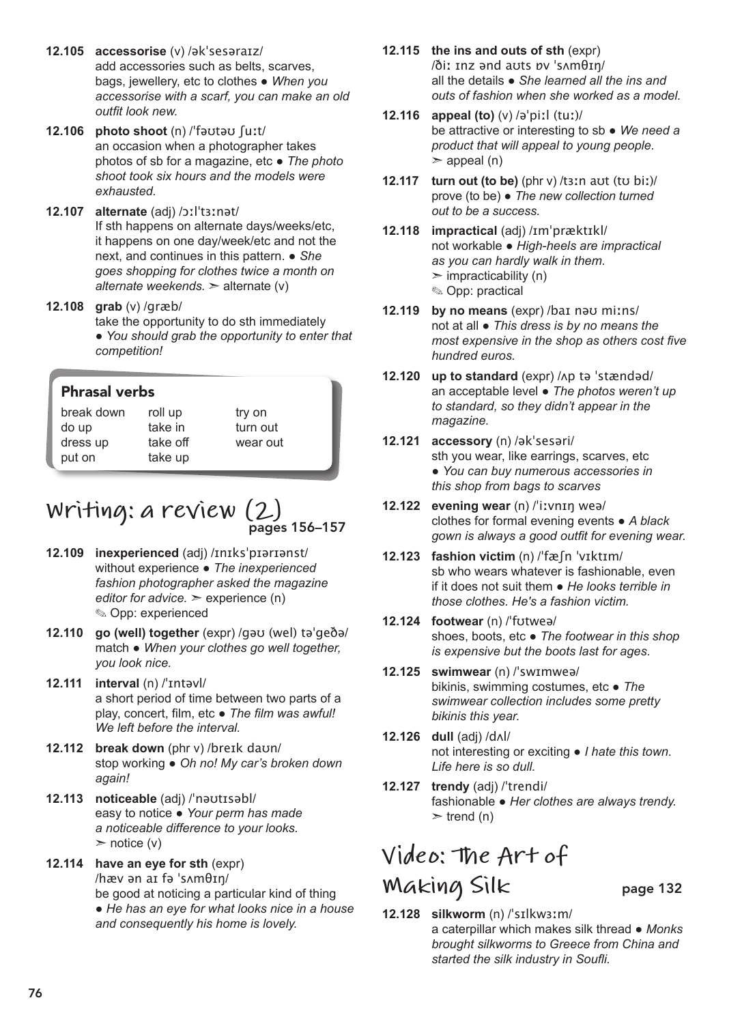- **12.105 accessorise** (v) /əkˈsesəraɪz/ add accessories such as belts, scarves, bags, jewellery, etc to clothes ● *When you accessorise with a scarf, you can make an old outfit look new.*
- **12.106 photo shoot** (n) /ˈfəʊtəʊ ʃuːt/ an occasion when a photographer takes photos of sb for a magazine, etc ● *The photo shoot took six hours and the models were exhausted.*
- **12.107 alternate** (adj) /ɔːlˈtɜːnət/ If sth happens on alternate days/weeks/etc, it happens on one day/week/etc and not the next, and continues in this pattern. ● *She goes shopping for clothes twice a month on alternate weekends.* ➣ alternate (v)
- **12.108 grab** (v) /ɡræb/ take the opportunity to do sth immediately ● *You should grab the opportunity to enter that competition!*

| <b>Phrasal verbs</b>                      |                                           |                                |
|-------------------------------------------|-------------------------------------------|--------------------------------|
| break down<br>do up<br>dress up<br>put on | roll up<br>take in<br>take off<br>take up | try on<br>turn out<br>wear out |

### **Writing: a review (2)** pages 156–157

- **12.109 inexperienced** (adj) /ɪnɪksˈpɪərɪənst/ without experience ● *The inexperienced fashion photographer asked the magazine editor for advice.* ➣ experience (n) ✎ Opp: experienced
- **12.110 go (well) together** (expr) /gəʊ (wel) təˈgeðə/ match ● *When your clothes go well together, you look nice.*
- **12.111 interval** (n) /ˈɪntəvl/ a short period of time between two parts of a play, concert, film, etc ● *The film was awful! We left before the interval.*
- **12.112 break down** (phr v) /breɪk daʊn/ stop working ● *Oh no! My car's broken down again!*
- **12.113 noticeable** (adj) /ˈnəʊtɪsəbl/ easy to notice ● *Your perm has made a noticeable difference to your looks.*   $\triangleright$  notice (v)
- **12.114 have an eye for sth** (expr) /hæv ən aɪ fə ˈsʌmθɪŋ/ be good at noticing a particular kind of thing ● *He has an eye for what looks nice in a house and consequently his home is lovely.*
- **12.115 the ins and outs of sth** (expr) /ðiː ɪnz ənd aʊts ɒv ˈsʌmθɪŋ/ all the details ● *She learned all the ins and outs of fashion when she worked as a model.*
- **12.116 appeal (to)** (v) /əˈpiːl (tuː)/ be attractive or interesting to sb ● *We need a product that will appeal to young people.*   $>$  appeal (n)
- **12.117 turn out (to be)** (phr v) /tɜːn aʊt (tʊ biː)/ prove (to be) ● *The new collection turned out to be a success.*
- **12.118 impractical** (adj) /ɪmˈpræktɪkl/ not workable ● *High-heels are impractical as you can hardly walk in them.*   $\triangleright$  impracticability (n) ✎ Opp: practical
- **12.119 by no means** (expr) /baɪ nəʊ miːns/ not at all ● *This dress is by no means the most expensive in the shop as others cost five hundred euros.*
- **12.120 up to standard** (expr) /ʌp tə ˈstændəd/ an acceptable level ● *The photos weren't up to standard, so they didn't appear in the magazine.*
- **12.121 accessory** (n) /əkˈsesəri/ sth you wear, like earrings, scarves, etc ● *You can buy numerous accessories in this shop from bags to scarves*
- **12.122 evening wear** (n) /ˈiːvnɪŋ weə/ clothes for formal evening events ● *A black gown is always a good outfit for evening wear.*
- **12.123 fashion victim** (n) /ˈfæʃn ˈvɪktɪm/ sb who wears whatever is fashionable, even if it does not suit them ● *He looks terrible in those clothes. He's a fashion victim.*
- **12.124 footwear** (n) /ˈfʊtweə/ shoes, boots, etc ● *The footwear in this shop is expensive but the boots last for ages.*
- **12.125 swimwear** (n) /ˈswɪmweə/ bikinis, swimming costumes, etc ● *The swimwear collection includes some pretty bikinis this year.*
- **12.126 dull** (adj) /dʌl/ not interesting or exciting ● *I hate this town. Life here is so dull.*
- **12.127 trendy** (adj) /ˈtrendi/ fashionable ● *Her clothes are always trendy.*  $\ge$  trend (n)

## **Video: The Art of Making Silk** page 132

**12.128 silkworm** (n) /ˈsɪlkwɜːm/ a caterpillar which makes silk thread ● *Monks brought silkworms to Greece from China and started the silk industry in Soufli.*